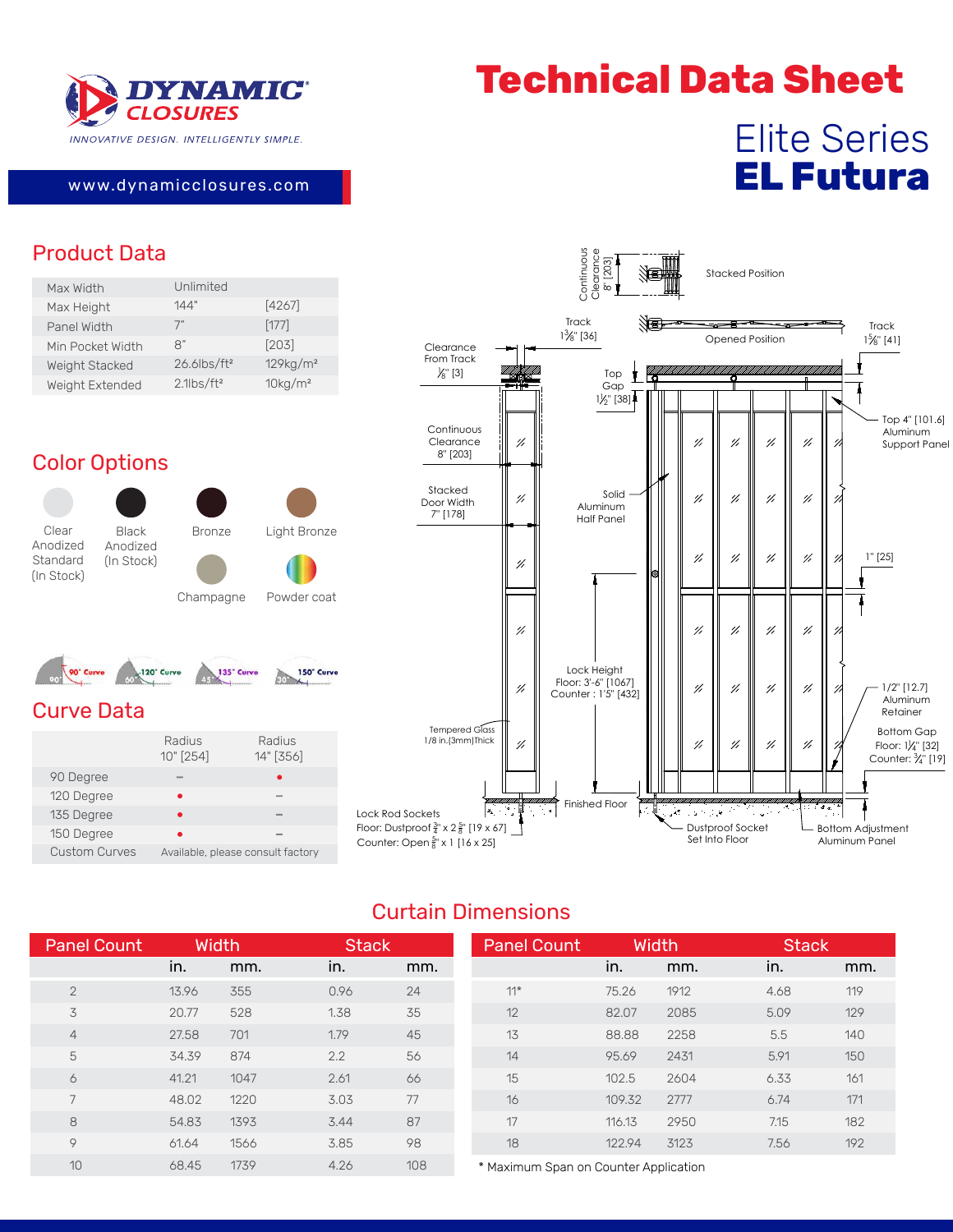

# **Technical Data Sheet**

## Elite Series **EL Futura**

#### www.dynamicclosu res.com

### Product Data

| Unlimited                  |                        |
|----------------------------|------------------------|
| 144"                       | [4267]                 |
| 7"                         | [177]                  |
| $\mathsf{R}^n$             | [203]                  |
| $26.6$ lbs/ft <sup>2</sup> | 129kg/m <sup>2</sup>   |
| $2.1$ lbs/ft <sup>2</sup>  | $10$ kg/m <sup>2</sup> |
|                            |                        |

### Color Options

Clear Anodized Standard (In Stock)

Black Anodized (In Stock)



Champagne Powder coat



#### Curve Data

|                      | Radius<br>10" [254] | Radius<br>14" [356]               |
|----------------------|---------------------|-----------------------------------|
| 90 Degree            |                     |                                   |
| 120 Degree           |                     |                                   |
| 135 Degree           |                     |                                   |
| 150 Degree           |                     |                                   |
| <b>Custom Curves</b> |                     | Available, please consult factory |



#### Curtain Dimensions

| <b>Panel Count</b> |       | <b>Width</b> | <b>Stack</b> |     | <b>Panel Count</b>                    |        | <b>Width</b> | <b>Stack</b> |     |
|--------------------|-------|--------------|--------------|-----|---------------------------------------|--------|--------------|--------------|-----|
|                    | in.   | mm.          | in.          | mm. |                                       | in.    | mm.          | in.          | mm. |
| $\overline{2}$     | 13.96 | 355          | 0.96         | 24  | $11*$                                 | 75.26  | 1912         | 4.68         | 119 |
| 3                  | 20.77 | 528          | 1.38         | 35  | 12                                    | 82.07  | 2085         | 5.09         | 129 |
| $\overline{4}$     | 27.58 | 701          | 1.79         | 45  | 13                                    | 88.88  | 2258         | 5.5          | 140 |
| 5                  | 34.39 | 874          | 2.2          | 56  | 14                                    | 95.69  | 2431         | 5.91         | 150 |
| 6                  | 41.21 | 1047         | 2.61         | 66  | 15                                    | 102.5  | 2604         | 6.33         | 161 |
| 7                  | 48.02 | 1220         | 3.03         | 77  | 16                                    | 109.32 | 2777         | 6.74         | 171 |
| 8                  | 54.83 | 1393         | 3.44         | 87  | 17                                    | 116.13 | 2950         | 7.15         | 182 |
| 9                  | 61.64 | 1566         | 3.85         | 98  | 18                                    | 122.94 | 3123         | 7.56         | 192 |
| 10                 | 68.45 | 1739         | 4.26         | 108 | * Maximum Span on Counter Application |        |              |              |     |